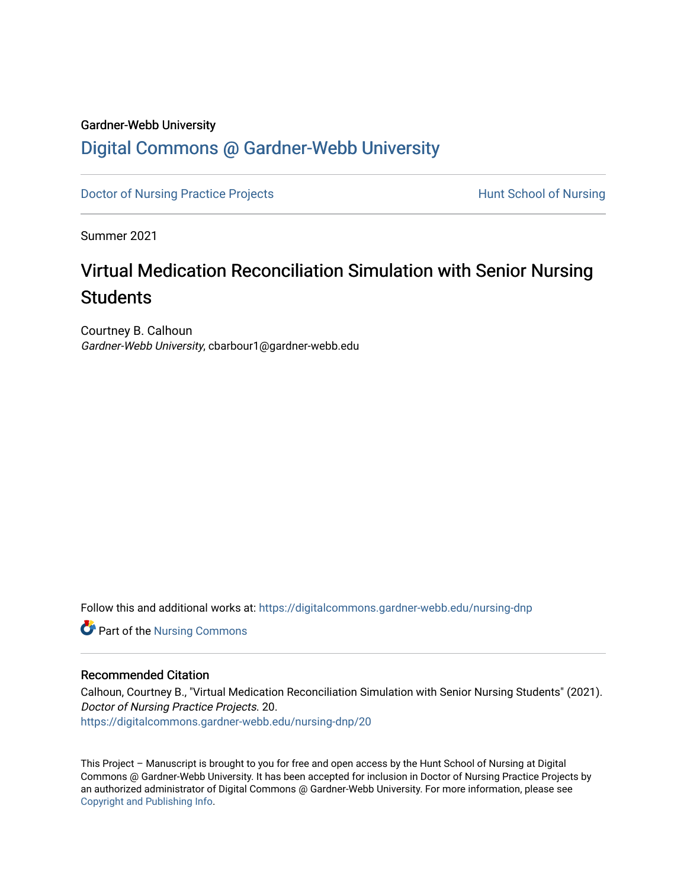## Gardner-Webb University

# [Digital Commons @ Gardner-Webb University](https://digitalcommons.gardner-webb.edu/)

[Doctor of Nursing Practice Projects](https://digitalcommons.gardner-webb.edu/nursing-dnp) **Hunt School of Nursing** 

Summer 2021

# Virtual Medication Reconciliation Simulation with Senior Nursing **Students**

Courtney B. Calhoun Gardner-Webb University, cbarbour1@gardner-webb.edu

Follow this and additional works at: [https://digitalcommons.gardner-webb.edu/nursing-dnp](https://digitalcommons.gardner-webb.edu/nursing-dnp?utm_source=digitalcommons.gardner-webb.edu%2Fnursing-dnp%2F20&utm_medium=PDF&utm_campaign=PDFCoverPages) 

Part of the [Nursing Commons](http://network.bepress.com/hgg/discipline/718?utm_source=digitalcommons.gardner-webb.edu%2Fnursing-dnp%2F20&utm_medium=PDF&utm_campaign=PDFCoverPages) 

## Recommended Citation

Calhoun, Courtney B., "Virtual Medication Reconciliation Simulation with Senior Nursing Students" (2021). Doctor of Nursing Practice Projects. 20. [https://digitalcommons.gardner-webb.edu/nursing-dnp/20](https://digitalcommons.gardner-webb.edu/nursing-dnp/20?utm_source=digitalcommons.gardner-webb.edu%2Fnursing-dnp%2F20&utm_medium=PDF&utm_campaign=PDFCoverPages)

This Project – Manuscript is brought to you for free and open access by the Hunt School of Nursing at Digital Commons @ Gardner-Webb University. It has been accepted for inclusion in Doctor of Nursing Practice Projects by an authorized administrator of Digital Commons @ Gardner-Webb University. For more information, please see [Copyright and Publishing Info.](https://digitalcommons.gardner-webb.edu/copyright_publishing.html)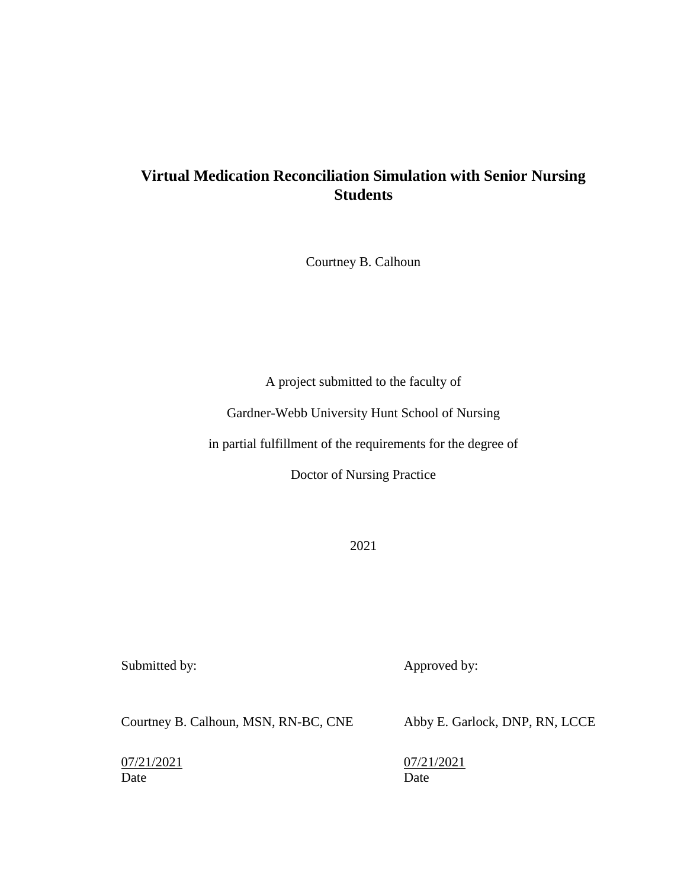## **Virtual Medication Reconciliation Simulation with Senior Nursing Students**

Courtney B. Calhoun

A project submitted to the faculty of

Gardner-Webb University Hunt School of Nursing

in partial fulfillment of the requirements for the degree of

Doctor of Nursing Practice

2021

Submitted by: Approved by:

Courtney B. Calhoun, MSN, RN-BC, CNE Abby E. Garlock, DNP, RN, LCCE

Date Date Date

07/21/2021 07/21/2021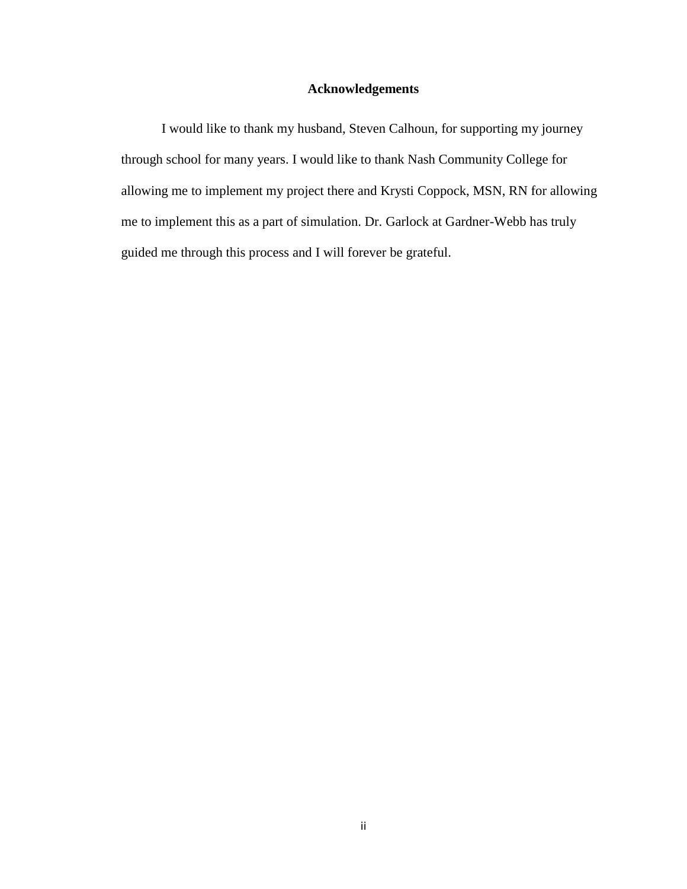## **Acknowledgements**

I would like to thank my husband, Steven Calhoun, for supporting my journey through school for many years. I would like to thank Nash Community College for allowing me to implement my project there and Krysti Coppock, MSN, RN for allowing me to implement this as a part of simulation. Dr. Garlock at Gardner-Webb has truly guided me through this process and I will forever be grateful.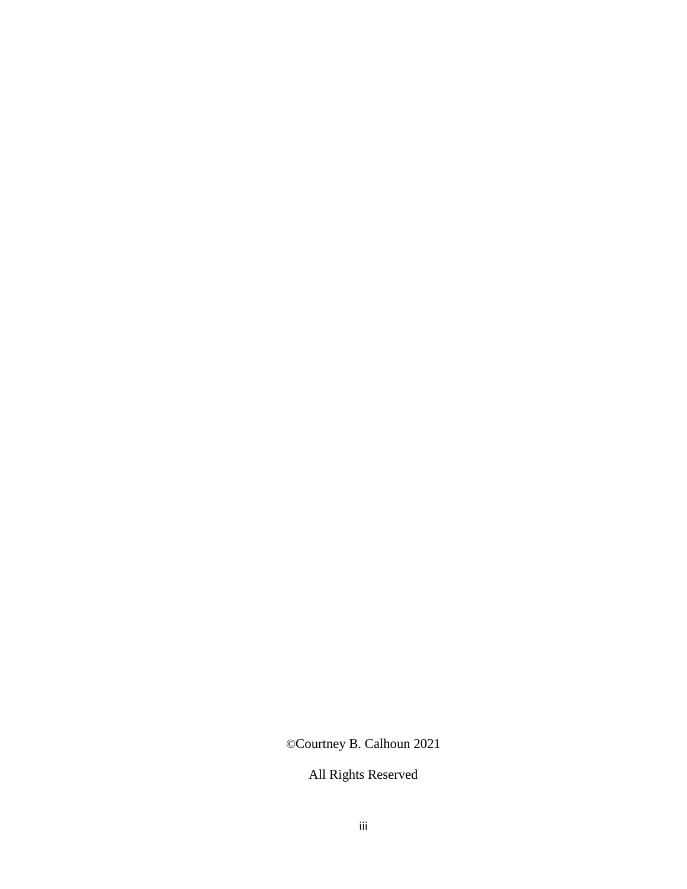©Courtney B. Calhoun 2021

All Rights Reserved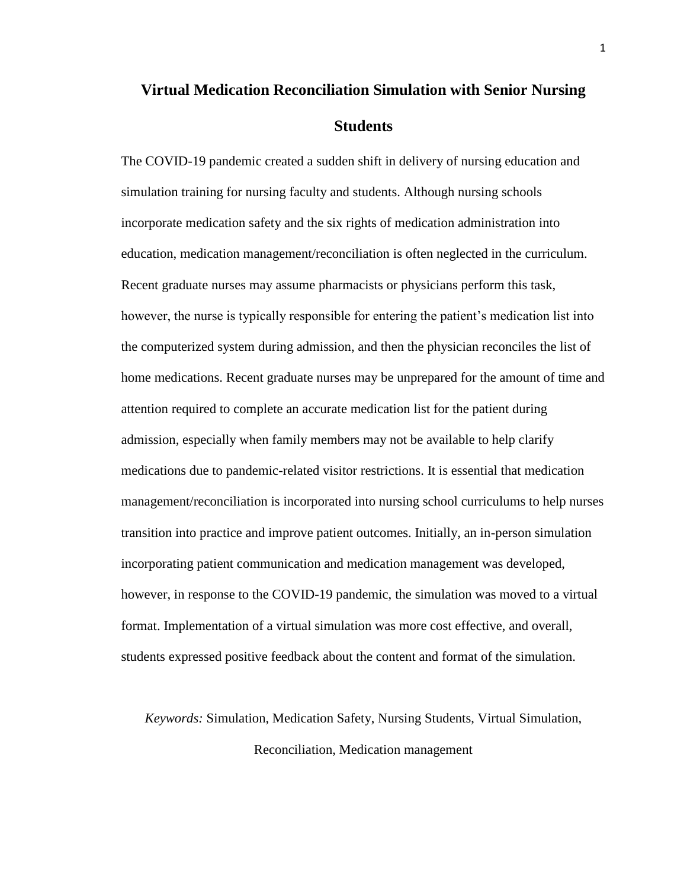# **Virtual Medication Reconciliation Simulation with Senior Nursing Students**

The COVID-19 pandemic created a sudden shift in delivery of nursing education and simulation training for nursing faculty and students. Although nursing schools incorporate medication safety and the six rights of medication administration into education, medication management/reconciliation is often neglected in the curriculum. Recent graduate nurses may assume pharmacists or physicians perform this task, however, the nurse is typically responsible for entering the patient's medication list into the computerized system during admission, and then the physician reconciles the list of home medications. Recent graduate nurses may be unprepared for the amount of time and attention required to complete an accurate medication list for the patient during admission, especially when family members may not be available to help clarify medications due to pandemic-related visitor restrictions. It is essential that medication management/reconciliation is incorporated into nursing school curriculums to help nurses transition into practice and improve patient outcomes. Initially, an in-person simulation incorporating patient communication and medication management was developed, however, in response to the COVID-19 pandemic, the simulation was moved to a virtual format. Implementation of a virtual simulation was more cost effective, and overall, students expressed positive feedback about the content and format of the simulation.

*Keywords:* Simulation, Medication Safety, Nursing Students, Virtual Simulation, Reconciliation, Medication management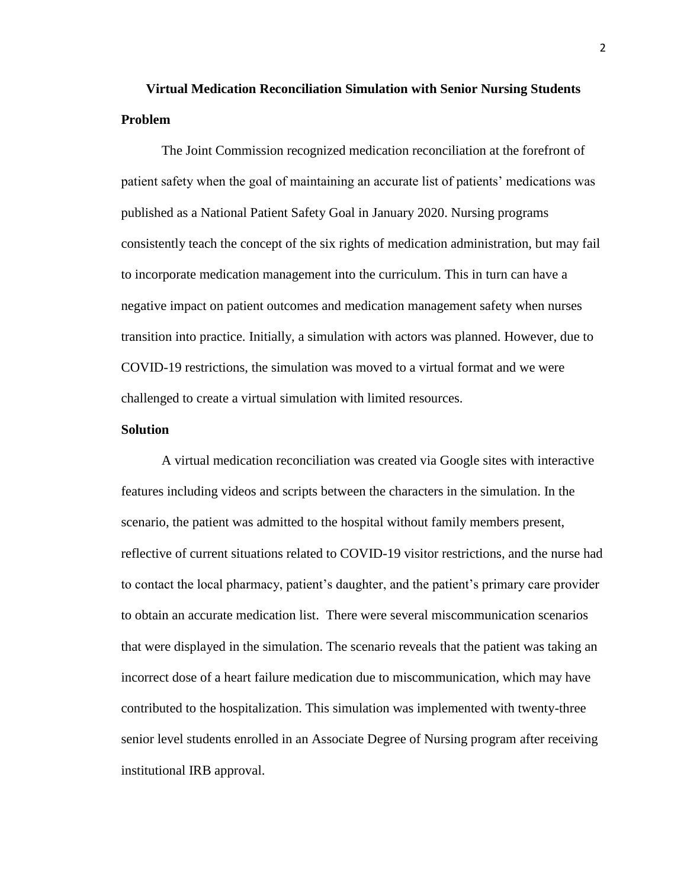# **Virtual Medication Reconciliation Simulation with Senior Nursing Students Problem**

The Joint Commission recognized medication reconciliation at the forefront of patient safety when the goal of maintaining an accurate list of patients' medications was published as a National Patient Safety Goal in January 2020. Nursing programs consistently teach the concept of the six rights of medication administration, but may fail to incorporate medication management into the curriculum. This in turn can have a negative impact on patient outcomes and medication management safety when nurses transition into practice. Initially, a simulation with actors was planned. However, due to COVID-19 restrictions, the simulation was moved to a virtual format and we were challenged to create a virtual simulation with limited resources.

### **Solution**

A virtual medication reconciliation was created via Google sites with interactive features including videos and scripts between the characters in the simulation. In the scenario, the patient was admitted to the hospital without family members present, reflective of current situations related to COVID-19 visitor restrictions, and the nurse had to contact the local pharmacy, patient's daughter, and the patient's primary care provider to obtain an accurate medication list. There were several miscommunication scenarios that were displayed in the simulation. The scenario reveals that the patient was taking an incorrect dose of a heart failure medication due to miscommunication, which may have contributed to the hospitalization. This simulation was implemented with twenty-three senior level students enrolled in an Associate Degree of Nursing program after receiving institutional IRB approval.